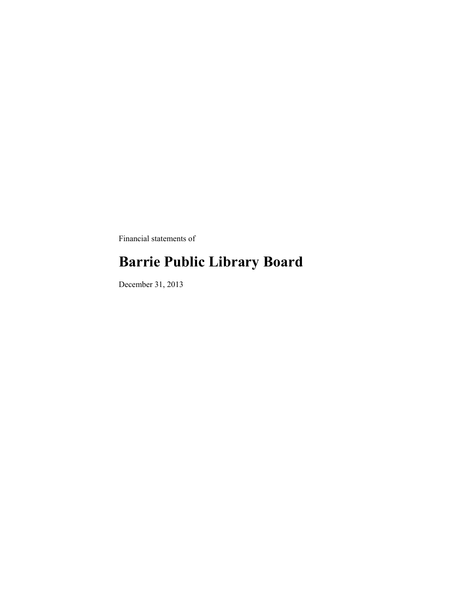Financial statements of

### **Barrie Public Library Board**

December 31, 2013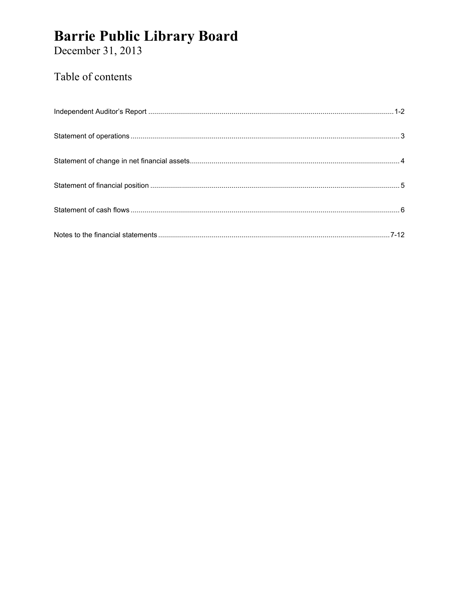# **Barrie Public Library Board**<br>December 31, 2013

### Table of contents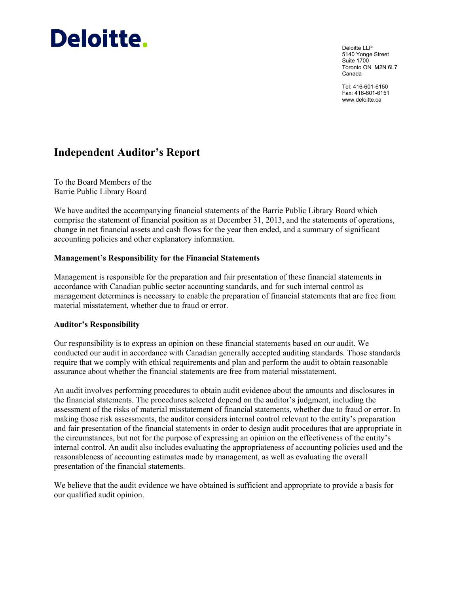## Deloitte.

Deloitte LLP 5140 Yonge Street Suite 1700 Toronto ON M2N 6L7 Canada

Tel: 416-601-6150 Fax: 416-601-6151 www.deloitte.ca

#### **Independent Auditor's Report**

To the Board Members of the Barrie Public Library Board

We have audited the accompanying financial statements of the Barrie Public Library Board which comprise the statement of financial position as at December 31, 2013, and the statements of operations, change in net financial assets and cash flows for the year then ended, and a summary of significant accounting policies and other explanatory information.

#### **Management's Responsibility for the Financial Statements**

Management is responsible for the preparation and fair presentation of these financial statements in accordance with Canadian public sector accounting standards, and for such internal control as management determines is necessary to enable the preparation of financial statements that are free from material misstatement, whether due to fraud or error.

#### **Auditor's Responsibility**

Our responsibility is to express an opinion on these financial statements based on our audit. We conducted our audit in accordance with Canadian generally accepted auditing standards. Those standards require that we comply with ethical requirements and plan and perform the audit to obtain reasonable assurance about whether the financial statements are free from material misstatement.

An audit involves performing procedures to obtain audit evidence about the amounts and disclosures in the financial statements. The procedures selected depend on the auditor's judgment, including the assessment of the risks of material misstatement of financial statements, whether due to fraud or error. In making those risk assessments, the auditor considers internal control relevant to the entity's preparation and fair presentation of the financial statements in order to design audit procedures that are appropriate in the circumstances, but not for the purpose of expressing an opinion on the effectiveness of the entity's internal control. An audit also includes evaluating the appropriateness of accounting policies used and the reasonableness of accounting estimates made by management, as well as evaluating the overall presentation of the financial statements.

We believe that the audit evidence we have obtained is sufficient and appropriate to provide a basis for our qualified audit opinion.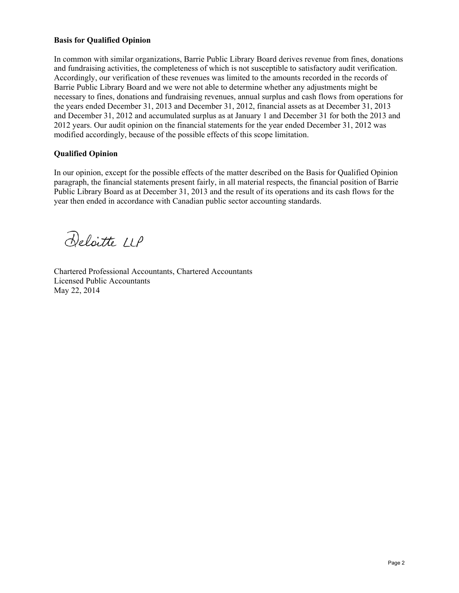#### **Basis for Qualified Opinion**

In common with similar organizations, Barrie Public Library Board derives revenue from fines, donations and fundraising activities, the completeness of which is not susceptible to satisfactory audit verification. Accordingly, our verification of these revenues was limited to the amounts recorded in the records of Barrie Public Library Board and we were not able to determine whether any adjustments might be necessary to fines, donations and fundraising revenues, annual surplus and cash flows from operations for the years ended December 31, 2013 and December 31, 2012, financial assets as at December 31, 2013 and December 31, 2012 and accumulated surplus as at January 1 and December 31 for both the 2013 and 2012 years. Our audit opinion on the financial statements for the year ended December 31, 2012 was modified accordingly, because of the possible effects of this scope limitation.

#### **Qualified Opinion**

In our opinion, except for the possible effects of the matter described on the Basis for Qualified Opinion paragraph, the financial statements present fairly, in all material respects, the financial position of Barrie Public Library Board as at December 31, 2013 and the result of its operations and its cash flows for the year then ended in accordance with Canadian public sector accounting standards.

Deloitte LLP

Chartered Professional Accountants, Chartered Accountants Licensed Public Accountants May 22, 2014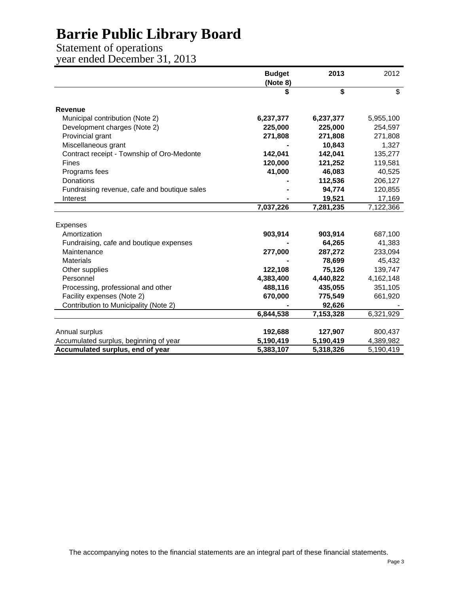Statement of operations year ended December 31, 2013

|                                              | <b>Budget</b><br>(Note 8) | 2013      | 2012      |
|----------------------------------------------|---------------------------|-----------|-----------|
|                                              | \$                        | \$        | \$        |
| <b>Revenue</b>                               |                           |           |           |
| Municipal contribution (Note 2)              | 6,237,377                 | 6,237,377 | 5,955,100 |
| Development charges (Note 2)                 | 225,000                   | 225,000   | 254,597   |
| Provincial grant                             | 271,808                   | 271,808   | 271,808   |
| Miscellaneous grant                          |                           | 10,843    | 1,327     |
| Contract receipt - Township of Oro-Medonte   | 142,041                   | 142,041   | 135,277   |
| Fines                                        | 120,000                   | 121,252   | 119,581   |
| Programs fees                                | 41,000                    | 46,083    | 40,525    |
| <b>Donations</b>                             |                           | 112,536   | 206,127   |
| Fundraising revenue, cafe and boutique sales |                           | 94,774    | 120,855   |
| Interest                                     |                           | 19,521    | 17,169    |
|                                              | 7,037,226                 | 7,281,235 | 7,122,366 |
|                                              |                           |           |           |
| <b>Expenses</b>                              |                           |           |           |
| Amortization                                 | 903,914                   | 903,914   | 687,100   |
| Fundraising, cafe and boutique expenses      |                           | 64,265    | 41,383    |
| Maintenance                                  | 277,000                   | 287,272   | 233,094   |
| <b>Materials</b>                             |                           | 78,699    | 45,432    |
| Other supplies                               | 122,108                   | 75,126    | 139,747   |
| Personnel                                    | 4,383,400                 | 4,440,822 | 4,162,148 |
| Processing, professional and other           | 488,116                   | 435,055   | 351,105   |
| Facility expenses (Note 2)                   | 670,000                   | 775,549   | 661,920   |
| Contribution to Municipality (Note 2)        |                           | 92,626    |           |
|                                              | 6,844,538                 | 7,153,328 | 6,321,929 |
|                                              |                           |           |           |
| Annual surplus                               | 192,688                   | 127,907   | 800,437   |
| Accumulated surplus, beginning of year       | 5,190,419                 | 5,190,419 | 4,389,982 |
| Accumulated surplus, end of year             | 5,383,107                 | 5,318,326 | 5,190,419 |

The accompanying notes to the financial statements are an integral part of these financial statements.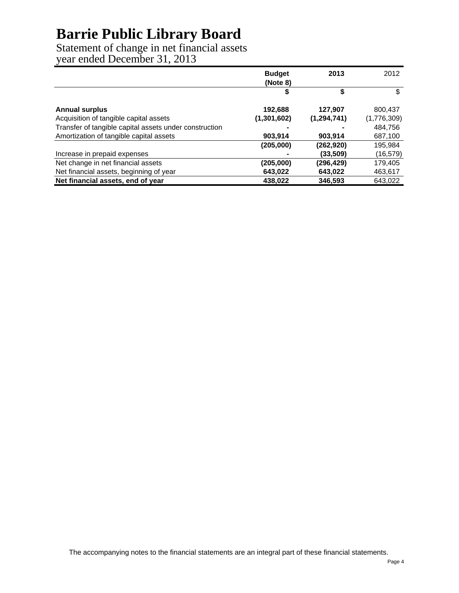Statement of change in net financial assets year ended December 31, 2013

|                                                        | <b>Budget</b><br>(Note 8) | 2013          | 2012        |
|--------------------------------------------------------|---------------------------|---------------|-------------|
|                                                        | \$                        | \$            | S           |
| <b>Annual surplus</b>                                  | 192,688                   | 127,907       | 800,437     |
| Acquisition of tangible capital assets                 | (1,301,602)               | (1, 294, 741) | (1,776,309) |
| Transfer of tangible capital assets under construction |                           |               | 484,756     |
| Amortization of tangible capital assets                | 903,914                   | 903.914       | 687,100     |
|                                                        | (205,000)                 | (262,920)     | 195,984     |
| Increase in prepaid expenses                           |                           | (33, 509)     | (16, 579)   |
| Net change in net financial assets                     | (205,000)                 | (296,429)     | 179,405     |
| Net financial assets, beginning of year                | 643.022                   | 643,022       | 463,617     |
| Net financial assets, end of year                      | 438.022                   | 346,593       | 643.022     |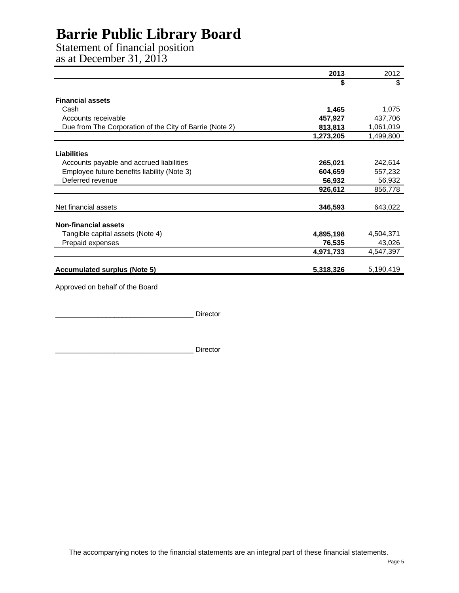Statement of financial position

as at December 31, 2013

|                                                         | 2013      | 2012      |
|---------------------------------------------------------|-----------|-----------|
|                                                         | \$        | \$        |
| <b>Financial assets</b>                                 |           |           |
| Cash                                                    | 1,465     | 1,075     |
| Accounts receivable                                     | 457,927   | 437,706   |
| Due from The Corporation of the City of Barrie (Note 2) | 813,813   | 1,061,019 |
|                                                         | 1,273,205 | 1,499,800 |
| <b>Liabilities</b>                                      |           |           |
| Accounts payable and accrued liabilities                | 265,021   | 242,614   |
| Employee future benefits liability (Note 3)             | 604,659   | 557,232   |
| Deferred revenue                                        | 56,932    | 56,932    |
|                                                         | 926,612   | 856,778   |
| Net financial assets                                    | 346,593   | 643,022   |
| <b>Non-financial assets</b>                             |           |           |
| Tangible capital assets (Note 4)                        | 4,895,198 | 4,504,371 |
| Prepaid expenses                                        | 76,535    | 43,026    |
|                                                         | 4,971,733 | 4,547,397 |
| <b>Accumulated surplus (Note 5)</b>                     | 5,318,326 | 5,190,419 |
| Approved on behalf of the Board                         |           |           |

\_\_\_\_\_\_\_\_\_\_\_\_\_\_\_\_\_\_\_\_\_\_\_\_\_\_\_\_\_\_\_\_\_\_\_ Director

Director

The accompanying notes to the financial statements are an integral part of these financial statements.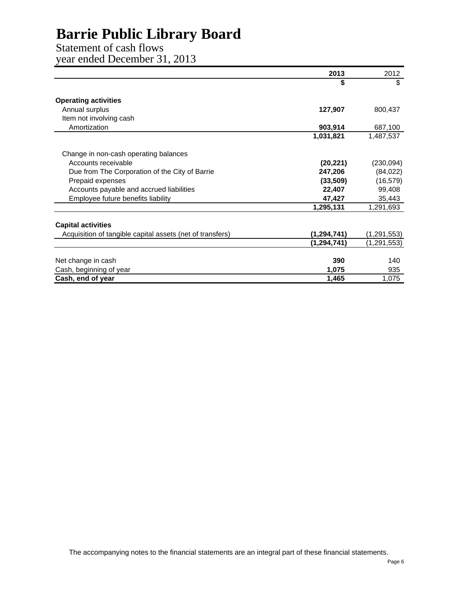Statement of cash flows year ended December 31, 2013

|                                                           | 2013        | 2012          |
|-----------------------------------------------------------|-------------|---------------|
|                                                           | \$          | \$            |
| <b>Operating activities</b>                               |             |               |
| Annual surplus                                            | 127,907     | 800,437       |
| Item not involving cash                                   |             |               |
| Amortization                                              | 903,914     | 687,100       |
|                                                           | 1,031,821   | 1,487,537     |
| Change in non-cash operating balances                     |             |               |
| Accounts receivable                                       | (20, 221)   | (230,094)     |
| Due from The Corporation of the City of Barrie            | 247,206     | (84, 022)     |
| Prepaid expenses                                          | (33, 509)   | (16, 579)     |
| Accounts payable and accrued liabilities                  | 22,407      | 99,408        |
| Employee future benefits liability                        | 47,427      | 35,443        |
|                                                           | 1,295,131   | 1,291,693     |
| <b>Capital activities</b>                                 |             |               |
| Acquisition of tangible capital assets (net of transfers) | (1,294,741) | (1,291,553)   |
|                                                           | (1,294,741) | (1, 291, 553) |
| Net change in cash                                        | 390         | 140           |
| Cash, beginning of year                                   | 1,075       | 935           |
| Cash, end of year                                         | 1,465       | 1,075         |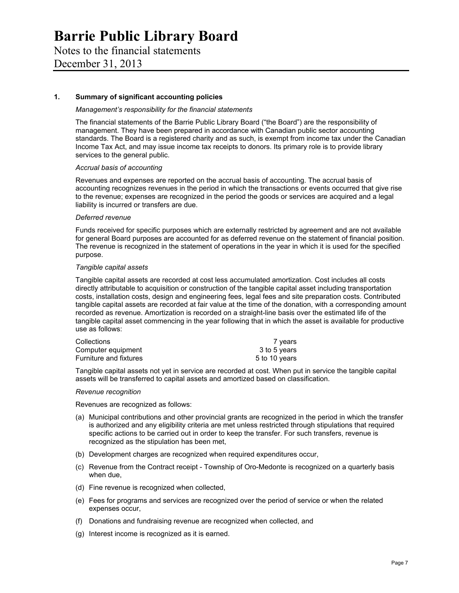Notes to the financial statements

December 31, 2013

#### **1. Summary of significant accounting policies**

#### *Management's responsibility for the financial statements*

The financial statements of the Barrie Public Library Board ("the Board") are the responsibility of management. They have been prepared in accordance with Canadian public sector accounting standards. The Board is a registered charity and as such, is exempt from income tax under the Canadian Income Tax Act, and may issue income tax receipts to donors. Its primary role is to provide library services to the general public.

#### *Accrual basis of accounting*

Revenues and expenses are reported on the accrual basis of accounting. The accrual basis of accounting recognizes revenues in the period in which the transactions or events occurred that give rise to the revenue; expenses are recognized in the period the goods or services are acquired and a legal liability is incurred or transfers are due.

#### *Deferred revenue*

Funds received for specific purposes which are externally restricted by agreement and are not available for general Board purposes are accounted for as deferred revenue on the statement of financial position. The revenue is recognized in the statement of operations in the year in which it is used for the specified purpose.

#### *Tangible capital assets*

Tangible capital assets are recorded at cost less accumulated amortization. Cost includes all costs directly attributable to acquisition or construction of the tangible capital asset including transportation costs, installation costs, design and engineering fees, legal fees and site preparation costs. Contributed tangible capital assets are recorded at fair value at the time of the donation, with a corresponding amount recorded as revenue. Amortization is recorded on a straight-line basis over the estimated life of the tangible capital asset commencing in the year following that in which the asset is available for productive use as follows:

| Collections                   | 7 years       |
|-------------------------------|---------------|
| Computer equipment            | 3 to 5 years  |
| <b>Furniture and fixtures</b> | 5 to 10 years |

Tangible capital assets not yet in service are recorded at cost. When put in service the tangible capital assets will be transferred to capital assets and amortized based on classification.

#### *Revenue recognition*

Revenues are recognized as follows:

- (a) Municipal contributions and other provincial grants are recognized in the period in which the transfer is authorized and any eligibility criteria are met unless restricted through stipulations that required specific actions to be carried out in order to keep the transfer. For such transfers, revenue is recognized as the stipulation has been met,
- (b) Development charges are recognized when required expenditures occur,
- (c) Revenue from the Contract receipt Township of Oro-Medonte is recognized on a quarterly basis when due,
- (d) Fine revenue is recognized when collected,
- (e) Fees for programs and services are recognized over the period of service or when the related expenses occur,
- (f) Donations and fundraising revenue are recognized when collected, and
- (g) Interest income is recognized as it is earned.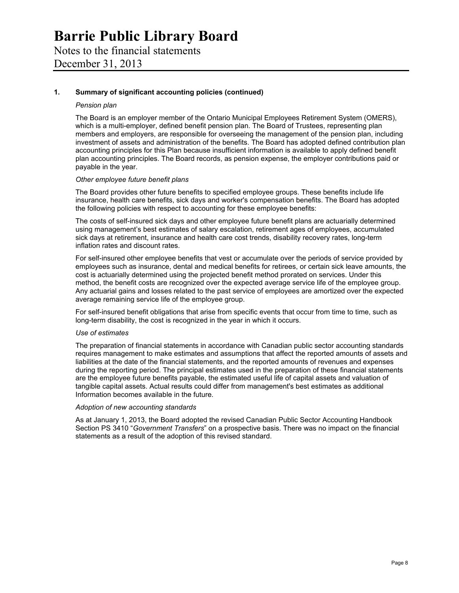#### **1. Summary of significant accounting policies (continued)**

#### *Pension plan*

The Board is an employer member of the Ontario Municipal Employees Retirement System (OMERS), which is a multi-employer, defined benefit pension plan. The Board of Trustees, representing plan members and employers, are responsible for overseeing the management of the pension plan, including investment of assets and administration of the benefits. The Board has adopted defined contribution plan accounting principles for this Plan because insufficient information is available to apply defined benefit plan accounting principles. The Board records, as pension expense, the employer contributions paid or payable in the year.

#### *Other employee future benefit plans*

The Board provides other future benefits to specified employee groups. These benefits include life insurance, health care benefits, sick days and worker's compensation benefits. The Board has adopted the following policies with respect to accounting for these employee benefits:

The costs of self-insured sick days and other employee future benefit plans are actuarially determined using management's best estimates of salary escalation, retirement ages of employees, accumulated sick days at retirement, insurance and health care cost trends, disability recovery rates, long-term inflation rates and discount rates.

For self-insured other employee benefits that vest or accumulate over the periods of service provided by employees such as insurance, dental and medical benefits for retirees, or certain sick leave amounts, the cost is actuarially determined using the projected benefit method prorated on services. Under this method, the benefit costs are recognized over the expected average service life of the employee group. Any actuarial gains and losses related to the past service of employees are amortized over the expected average remaining service life of the employee group.

For self-insured benefit obligations that arise from specific events that occur from time to time, such as long-term disability, the cost is recognized in the year in which it occurs.

#### *Use of estimates*

The preparation of financial statements in accordance with Canadian public sector accounting standards requires management to make estimates and assumptions that affect the reported amounts of assets and liabilities at the date of the financial statements, and the reported amounts of revenues and expenses during the reporting period. The principal estimates used in the preparation of these financial statements are the employee future benefits payable, the estimated useful life of capital assets and valuation of tangible capital assets. Actual results could differ from management's best estimates as additional Information becomes available in the future.

#### *Adoption of new accounting standards*

As at January 1, 2013, the Board adopted the revised Canadian Public Sector Accounting Handbook Section PS 3410 "*Government Transfers*" on a prospective basis. There was no impact on the financial statements as a result of the adoption of this revised standard.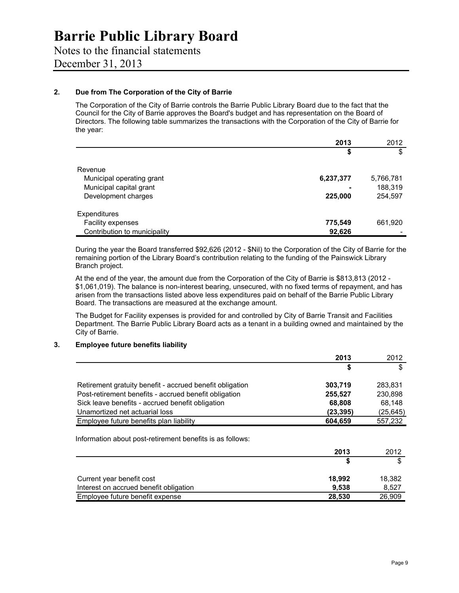Notes to the financial statements December 31, 2013

#### **2. Due from The Corporation of the City of Barrie**

The Corporation of the City of Barrie controls the Barrie Public Library Board due to the fact that the Council for the City of Barrie approves the Board's budget and has representation on the Board of Directors. The following table summarizes the transactions with the Corporation of the City of Barrie for the year:

|                              | 2013           | 2012      |
|------------------------------|----------------|-----------|
|                              | \$             | \$        |
| Revenue                      |                |           |
| Municipal operating grant    | 6,237,377      | 5,766,781 |
| Municipal capital grant      | $\blacksquare$ | 188,319   |
| Development charges          | 225,000        | 254,597   |
| Expenditures                 |                |           |
| <b>Facility expenses</b>     | 775,549        | 661,920   |
| Contribution to municipality | 92,626         |           |

During the year the Board transferred \$92,626 (2012 - \$Nil) to the Corporation of the City of Barrie for the remaining portion of the Library Board's contribution relating to the funding of the Painswick Library Branch project.

At the end of the year, the amount due from the Corporation of the City of Barrie is \$813,813 (2012 - \$1,061,019). The balance is non-interest bearing, unsecured, with no fixed terms of repayment, and has arisen from the transactions listed above less expenditures paid on behalf of the Barrie Public Library Board. The transactions are measured at the exchange amount.

The Budget for Facility expenses is provided for and controlled by City of Barrie Transit and Facilities Department. The Barrie Public Library Board acts as a tenant in a building owned and maintained by the City of Barrie.

#### **3. Employee future benefits liability**

|                                                          | 2013      | 2012      |
|----------------------------------------------------------|-----------|-----------|
|                                                          | S         | \$        |
| Retirement gratuity benefit - accrued benefit obligation | 303,719   | 283.831   |
| Post-retirement benefits - accrued benefit obligation    | 255,527   | 230,898   |
| Sick leave benefits - accrued benefit obligation         | 68,808    | 68.148    |
| Unamortized net actuarial loss                           | (23, 395) | (25, 645) |
| Employee future benefits plan liability                  | 604.659   | 557,232   |

Information about post-retirement benefits is as follows:

|                                        | 2013   | 2012   |
|----------------------------------------|--------|--------|
|                                        |        |        |
| Current year benefit cost              | 18.992 | 18,382 |
| Interest on accrued benefit obligation | 9.538  | 8,527  |
| Employee future benefit expense        | 28,530 | 26,909 |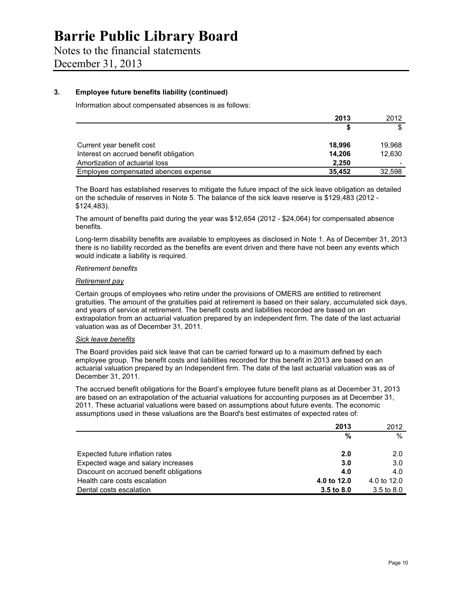Notes to the financial statements

December 31, 2013

#### **3. Employee future benefits liability (continued)**

Information about compensated absences is as follows:

|                                        | 2013   | 2012   |
|----------------------------------------|--------|--------|
|                                        |        |        |
| Current year benefit cost              | 18.996 | 19.968 |
| Interest on accrued benefit obligation | 14.206 | 12,630 |
| Amortization of actuarial loss         | 2.250  |        |
| Employee compensated abences expense   | 35.452 | 32.598 |

The Board has established reserves to mitigate the future impact of the sick leave obligation as detailed on the schedule of reserves in Note 5. The balance of the sick leave reserve is \$129,483 (2012 - \$124,483).

The amount of benefits paid during the year was \$12,654 (2012 - \$24,064) for compensated absence benefits.

Long-term disability benefits are available to employees as disclosed in Note 1. As of December 31, 2013 there is no liability recorded as the benefits are event driven and there have not been any events which would indicate a liability is required.

#### *Retirement benefits*

#### *Retirement pay*

Certain groups of employees who retire under the provisions of OMERS are entitled to retirement gratuities. The amount of the gratuities paid at retirement is based on their salary, accumulated sick days, and years of service at retirement. The benefit costs and liabilities recorded are based on an extrapolation from an actuarial valuation prepared by an independent firm. The date of the last actuarial valuation was as of December 31, 2011.

#### *Sick leave benefits*

The Board provides paid sick leave that can be carried forward up to a maximum defined by each employee group. The benefit costs and liabilities recorded for this benefit in 2013 are based on an actuarial valuation prepared by an Independent firm. The date of the last actuarial valuation was as of December 31, 2011.

The accrued benefit obligations for the Board's employee future benefit plans as at December 31, 2013 are based on an extrapolation of the actuarial valuations for accounting purposes as at December 31, 2011. These actuarial valuations were based on assumptions about future events. The economic assumptions used in these valuations are the Board's best estimates of expected rates of:

|                                         | 2013        | 2012                  |
|-----------------------------------------|-------------|-----------------------|
|                                         | %           | $\frac{0}{0}$         |
|                                         |             |                       |
| Expected future inflation rates         | 2.0         | 2.0                   |
| Expected wage and salary increases      | 3.0         | 3.0                   |
| Discount on accrued benefit obligations | 4.0         | 4.0                   |
| Health care costs escalation            | 4.0 to 12.0 | 4.0 to 12.0           |
| Dental costs escalation                 | 3.5 to 8.0  | $3.5 \text{ to } 8.0$ |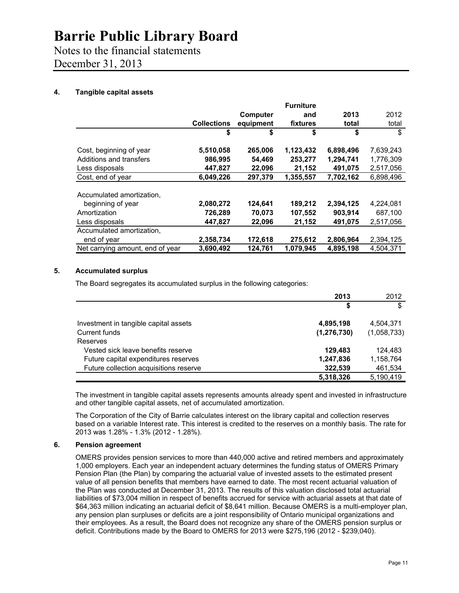Notes to the financial statements

December 31, 2013

#### **4. Tangible capital assets**

|                                  |                    |           | <b>Furniture</b> |           |           |
|----------------------------------|--------------------|-----------|------------------|-----------|-----------|
|                                  |                    | Computer  | and              | 2013      | 2012      |
|                                  | <b>Collections</b> | equipment | fixtures         | total     | total     |
|                                  | \$                 | \$        | \$               | \$        | \$        |
| Cost, beginning of year          | 5,510,058          | 265,006   | 1,123,432        | 6,898,496 | 7,639,243 |
| Additions and transfers          | 986,995            | 54,469    | 253,277          | 1,294,741 | 1,776,309 |
| Less disposals                   | 447,827            | 22,096    | 21,152           | 491,075   | 2,517,056 |
| Cost, end of year                | 6,049,226          | 297,379   | 1,355,557        | 7,702,162 | 6,898,496 |
| Accumulated amortization,        |                    |           |                  |           |           |
| beginning of year                | 2,080,272          | 124,641   | 189,212          | 2,394,125 | 4,224,081 |
| Amortization                     | 726,289            | 70,073    | 107,552          | 903,914   | 687,100   |
| Less disposals                   | 447,827            | 22,096    | 21,152           | 491,075   | 2,517,056 |
| Accumulated amortization,        |                    |           |                  |           |           |
| end of year                      | 2,358,734          | 172,618   | 275,612          | 2,806,964 | 2,394,125 |
| Net carrying amount, end of year | 3,690,492          | 124,761   | 1,079,945        | 4,895,198 | 4,504,371 |

#### **5. Accumulated surplus**

The Board segregates its accumulated surplus in the following categories:

|                                        | 2013          | 2012        |
|----------------------------------------|---------------|-------------|
|                                        | \$            | \$          |
| Investment in tangible capital assets  | 4,895,198     | 4,504,371   |
| Current funds                          | (1, 276, 730) | (1,058,733) |
| Reserves                               |               |             |
| Vested sick leave benefits reserve     | 129,483       | 124.483     |
| Future capital expenditures reserves   | 1,247,836     | 1,158,764   |
| Future collection acquisitions reserve | 322,539       | 461,534     |
|                                        | 5,318,326     | 5,190,419   |

The investment in tangible capital assets represents amounts already spent and invested in infrastructure and other tangible capital assets, net of accumulated amortization.

The Corporation of the City of Barrie calculates interest on the library capital and collection reserves based on a variable Interest rate. This interest is credited to the reserves on a monthly basis. The rate for 2013 was 1.28% - 1.3% (2012 - 1.28%).

#### **6. Pension agreement**

OMERS provides pension services to more than 440,000 active and retired members and approximately 1,000 employers. Each year an independent actuary determines the funding status of OMERS Primary Pension Plan (the Plan) by comparing the actuarial value of invested assets to the estimated present value of all pension benefits that members have earned to date. The most recent actuarial valuation of the Plan was conducted at December 31, 2013. The results of this valuation disclosed total actuarial liabilities of \$73,004 million in respect of benefits accrued for service with actuarial assets at that date of \$64,363 million indicating an actuarial deficit of \$8,641 million. Because OMERS is a multi-employer plan, any pension plan surpluses or deficits are a joint responsibility of Ontario municipal organizations and their employees. As a result, the Board does not recognize any share of the OMERS pension surplus or deficit. Contributions made by the Board to OMERS for 2013 were \$275,196 (2012 - \$239,040).